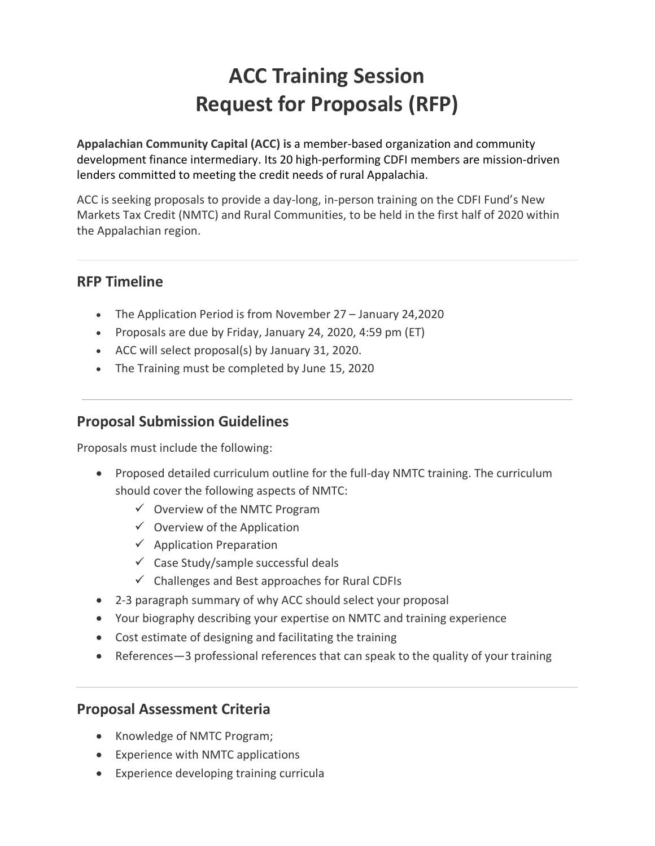# **ACC Training Session Request for Proposals (RFP)**

**Appalachian Community Capital (ACC) is** a member-based organization and community development finance intermediary. Its 20 high-performing CDFI members are mission-driven lenders committed to meeting the credit needs of rural Appalachia.

ACC is seeking proposals to provide a day-long, in-person training on the CDFI Fund's New Markets Tax Credit (NMTC) and Rural Communities, to be held in the first half of 2020 within the Appalachian region.

## **RFP Timeline**

- The Application Period is from November 27 January 24,2020
- Proposals are due by Friday, January 24, 2020, 4:59 pm (ET)
- ACC will select proposal(s) by January 31, 2020.
- The Training must be completed by June 15, 2020

# **Proposal Submission Guidelines**

Proposals must include the following:

- Proposed detailed curriculum outline for the full-day NMTC training. The curriculum should cover the following aspects of NMTC:
	- $\checkmark$  Overview of the NMTC Program
	- $\checkmark$  Overview of the Application
	- $\checkmark$  Application Preparation
	- $\checkmark$  Case Study/sample successful deals
	- $\checkmark$  Challenges and Best approaches for Rural CDFIs
- 2-3 paragraph summary of why ACC should select your proposal
- Your biography describing your expertise on NMTC and training experience
- Cost estimate of designing and facilitating the training
- References—3 professional references that can speak to the quality of your training

## **Proposal Assessment Criteria**

- Knowledge of NMTC Program;
- Experience with NMTC applications
- Experience developing training curricula